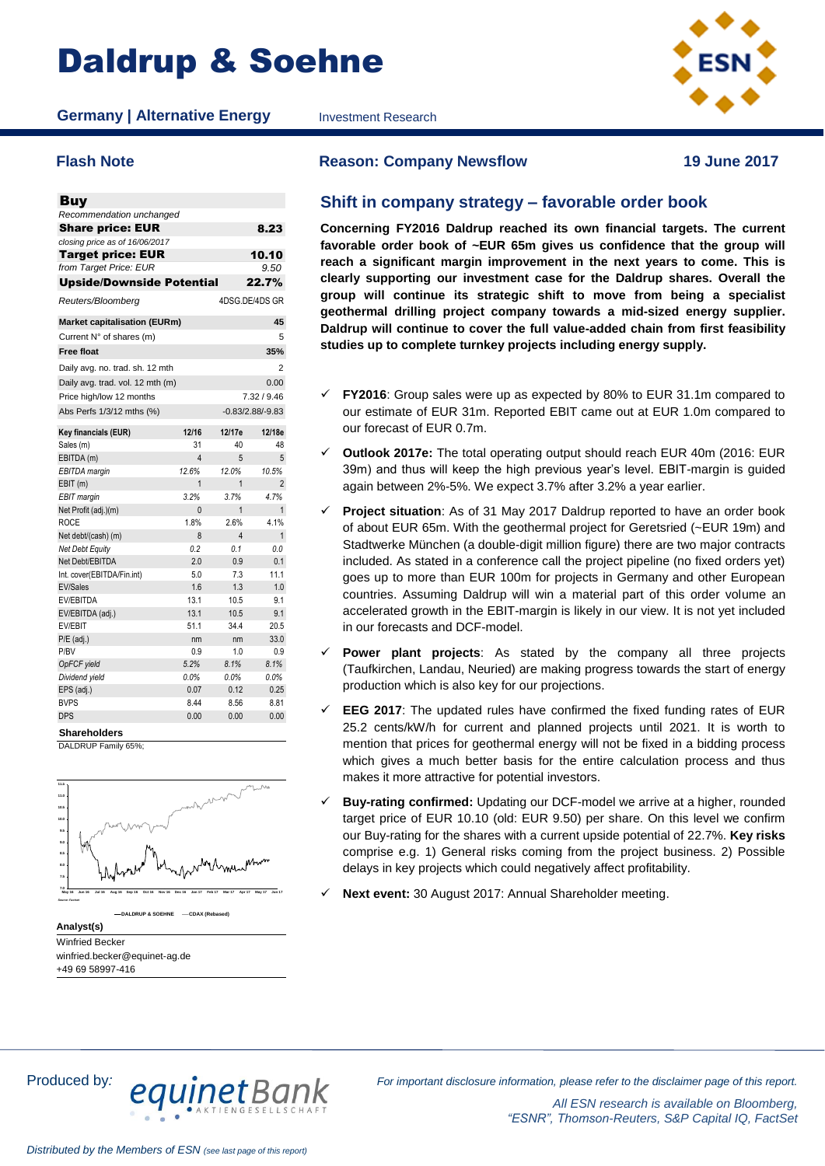# Daldrup & Soehne

**Germany | Alternative Energy** Investment Research



| <b>Buy</b>                          |          |                |                    |
|-------------------------------------|----------|----------------|--------------------|
| Recommendation unchanged            |          |                |                    |
| <b>Share price: EUR</b>             |          |                | 8.23               |
| closing price as of 16/06/2017      |          |                |                    |
| <b>Target price: EUR</b>            |          |                | 10.10              |
| from Target Price: EUR              |          |                | 9.50               |
| <b>Upside/Downside Potential</b>    |          |                | 22.7%              |
| Reuters/Bloomberg                   |          | 4DSG.DE/4DS GR |                    |
| <b>Market capitalisation (EURm)</b> |          |                | 45                 |
| Current N° of shares (m)            |          |                | 5                  |
| <b>Free float</b>                   |          |                | 35%                |
| Daily avg. no. trad. sh. 12 mth     |          |                | $\overline{2}$     |
| Daily avg. trad. vol. 12 mth (m)    |          |                | 0.00               |
| Price high/low 12 months            |          |                | 7.32 / 9.46        |
| Abs Perfs 1/3/12 mths (%)           |          |                | $-0.83/2.88/-9.83$ |
| Key financials (EUR)                | 12/16    | 12/17e         | 12/18e             |
| Sales (m)                           | 31       | 40             | 48                 |
| EBITDA (m)                          | 4        | 5              | 5                  |
| EBITDA margin                       | 12.6%    | 12.0%          | 10.5%              |
| EBIT (m)                            | 1        | 1              | 2                  |
| <b>EBIT</b> margin                  | 3.2%     | 3.7%           | 4.7%               |
| Net Profit (adj.)(m)                | $\Omega$ | $\overline{1}$ | $\overline{1}$     |
| <b>ROCE</b>                         | 1.8%     | 2.6%           | 4.1%               |
| Net debt/(cash) (m)                 | 8        | $\overline{4}$ | $\mathbf{1}$       |
| Net Debt Equity                     | 0.2      | 0.1            | 0.0                |
| Net Debt/EBITDA                     | 2.0      | 0.9            | 0.1                |
| Int. cover(EBITDA/Fin.int)          | 5.0      | 7.3            | 11.1               |
| <b>EV/Sales</b>                     | 1.6      | 1.3            | 1.0                |
| EV/EBITDA                           | 13.1     | 10.5           | 9.1                |
| EV/EBITDA (adj.)                    | 13.1     | 10.5           | 9.1                |
| EV/EBIT                             | 51.1     | 34.4           | 20.5               |
| $P/E$ (adj.)                        | nm       | nm             | 33.0               |
| P/BV                                | 0.9      | 1.0            | 0.9                |
| OpFCF yield                         | 5.2%     | 8.1%           | 8.1%               |
| Dividend yield                      | 0.0%     | 0.0%           | 0.0%               |
| EPS (adj.)                          | 0.07     | 0.12           | 0.25               |
| <b>BVPS</b>                         | 8.44     | 8.56           | 8.81               |
| DPS                                 | 0.00     | 0.00           | 0.00               |

**Shareholders**





**Analyst(s)** Winfried Becker winfried.becker@equinet-ag.de +49 69 58997-416

**Flash Note Reason: Company Newsflow 19 June 2017**

### **Shift in company strategy – favorable order book**

**Concerning FY2016 Daldrup reached its own financial targets. The current favorable order book of ~EUR 65m gives us confidence that the group will reach a significant margin improvement in the next years to come. This is clearly supporting our investment case for the Daldrup shares. Overall the group will continue its strategic shift to move from being a specialist geothermal drilling project company towards a mid-sized energy supplier. Daldrup will continue to cover the full value-added chain from first feasibility studies up to complete turnkey projects including energy supply.** 

- **FY2016**: Group sales were up as expected by 80% to EUR 31.1m compared to our estimate of EUR 31m. Reported EBIT came out at EUR 1.0m compared to our forecast of EUR 0.7m.
- **Outlook 2017e:** The total operating output should reach EUR 40m (2016: EUR 39m) and thus will keep the high previous year's level. EBIT-margin is guided again between 2%-5%. We expect 3.7% after 3.2% a year earlier.
- **Project situation**: As of 31 May 2017 Daldrup reported to have an order book of about EUR 65m. With the geothermal project for Geretsried (~EUR 19m) and Stadtwerke München (a double-digit million figure) there are two major contracts included. As stated in a conference call the project pipeline (no fixed orders yet) goes up to more than EUR 100m for projects in Germany and other European countries. Assuming Daldrup will win a material part of this order volume an accelerated growth in the EBIT-margin is likely in our view. It is not yet included in our forecasts and DCF-model.
- **Power plant projects**: As stated by the company all three projects (Taufkirchen, Landau, Neuried) are making progress towards the start of energy production which is also key for our projections.
- **EEG 2017**: The updated rules have confirmed the fixed funding rates of EUR 25.2 cents/kW/h for current and planned projects until 2021. It is worth to mention that prices for geothermal energy will not be fixed in a bidding process which gives a much better basis for the entire calculation process and thus makes it more attractive for potential investors.
- **Buy-rating confirmed:** Updating our DCF-model we arrive at a higher, rounded target price of EUR 10.10 (old: EUR 9.50) per share. On this level we confirm our Buy-rating for the shares with a current upside potential of 22.7%. **Key risks** comprise e.g. 1) General risks coming from the project business. 2) Possible delays in key projects which could negatively affect profitability.
- **Next event:** 30 August 2017: Annual Shareholder meeting.

Produced by*: For important disclosure information, please refer to the disclaimer page of this report.*

*All ESN research is available on Bloomberg, "ESNR", Thomson-Reuters, S&P Capital IQ, FactSet*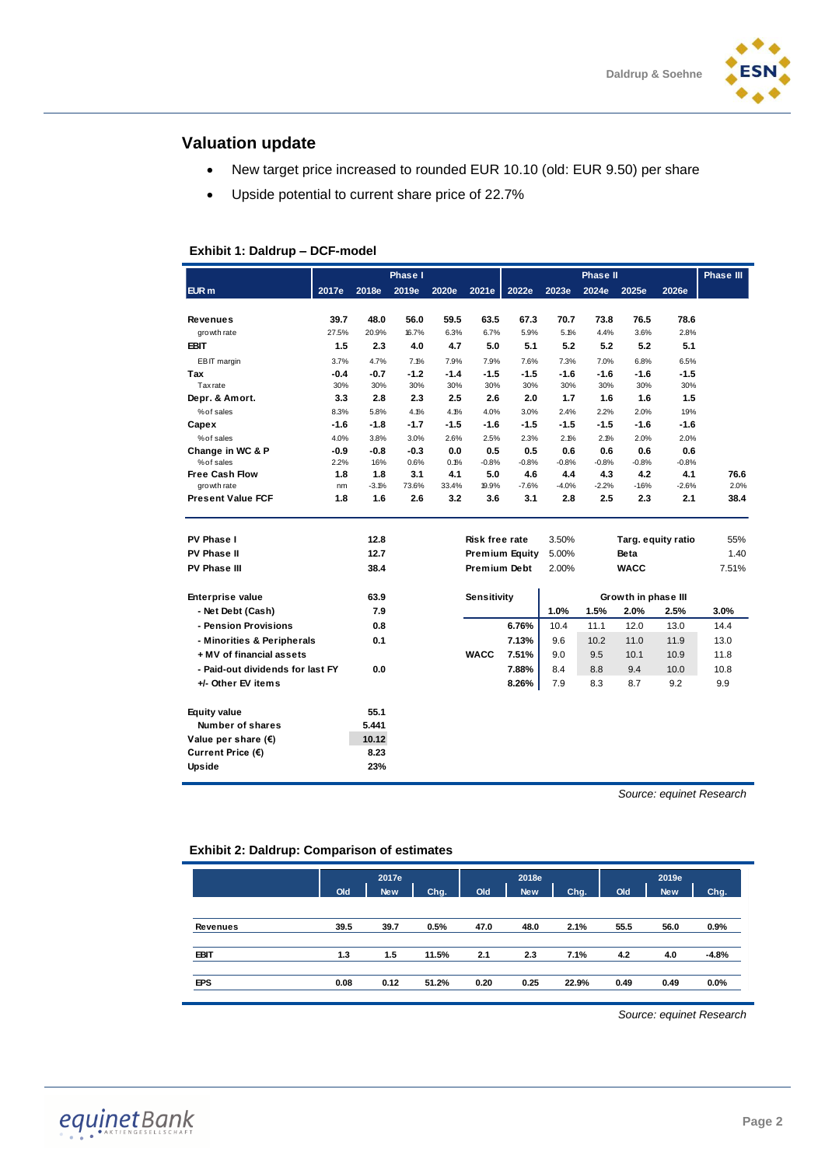

### **Valuation update**

- New target price increased to rounded EUR 10.10 (old: EUR 9.50) per share
- Upside potential to current share price of 22.7%

### **Exhibit 1: Daldrup – DCF-model**

|                                  |        |         | Phase I |        |                |                       |         | Phase II |                     |         | <b>Phase III</b> |
|----------------------------------|--------|---------|---------|--------|----------------|-----------------------|---------|----------|---------------------|---------|------------------|
| EUR m                            | 2017e  | 2018e   | 2019e   | 2020e  | 2021e          | 2022e                 | 2023e   | 2024e    | 2025e               | 2026e   |                  |
|                                  |        |         |         |        |                |                       |         |          |                     |         |                  |
| <b>Revenues</b>                  | 39.7   | 48.0    | 56.0    | 59.5   | 63.5           | 67.3                  | 70.7    | 73.8     | 76.5                | 78.6    |                  |
| growth rate                      | 27.5%  | 20.9%   | 16.7%   | 6.3%   | 6.7%           | 5.9%                  | 5.1%    | 4.4%     | 3.6%                | 2.8%    |                  |
| <b>EBIT</b>                      | 1.5    | 2.3     | 4.0     | 4.7    | 5.0            | 5.1                   | 5.2     | 5.2      | 5.2                 | 5.1     |                  |
| EBIT margin                      | 3.7%   | 4.7%    | 7.1%    | 7.9%   | 7.9%           | 7.6%                  | 7.3%    | 7.0%     | 6.8%                | 6.5%    |                  |
| Tax                              | $-0.4$ | -0.7    | $-1.2$  | $-1.4$ | $-1.5$         | -1.5                  | $-1.6$  | $-1.6$   | $-1.6$              | $-1.5$  |                  |
| Tax rate                         | 30%    | 30%     | 30%     | 30%    | 30%            | 30%                   | 30%     | 30%      | 30%                 | 30%     |                  |
| Depr. & Amort.                   | 3.3    | 2.8     | 2.3     | 2.5    | 2.6            | 2.0                   | 1.7     | 1.6      | 1.6                 | 1.5     |                  |
| % of sales                       | 8.3%   | 5.8%    | 4.1%    | 4.1%   | 4.0%           | 3.0%                  | 2.4%    | 2.2%     | 2.0%                | 1.9%    |                  |
| Capex                            | $-1.6$ | $-1.8$  | $-1.7$  | $-1.5$ | $-1.6$         | $-1.5$                | $-1.5$  | $-1.5$   | $-1.6$              | $-1.6$  |                  |
| % of sales                       | 4.0%   | 3.8%    | 3.0%    | 2.6%   | 2.5%           | 2.3%                  | 2.1%    | 2.1%     | 2.0%                | 2.0%    |                  |
| Change in WC & P                 | $-0.9$ | $-0.8$  | $-0.3$  | 0.0    | 0.5            | 0.5                   | 0.6     | 0.6      | 0.6                 | 0.6     |                  |
| % of sales                       | 2.2%   | 1.6%    | 0.6%    | 0.1%   | $-0.8%$        | $-0.8%$               | $-0.8%$ | $-0.8%$  | $-0.8%$             | $-0.8%$ |                  |
| <b>Free Cash Flow</b>            | 1.8    | 1.8     | 3.1     | 4.1    | 5.0            | 4.6                   | 4.4     | 4.3      | 4.2                 | 4.1     | 76.6             |
| growth rate                      | nm     | $-3.1%$ | 73.6%   | 33.4%  | 19.9%          | $-7.6%$               | $-4.0%$ | $-2.2%$  | $-16%$              | $-2.6%$ | 2.0%             |
| <b>Present Value FCF</b>         | 1.8    | 1.6     | 2.6     | 3.2    | 3.6            | 3.1                   | 2.8     | 2.5      | 2.3                 | 2.1     | 38.4             |
|                                  |        |         |         |        |                |                       |         |          |                     |         |                  |
| PV Phase I                       |        | 12.8    |         |        | Risk free rate |                       | 3.50%   |          | Targ. equity ratio  |         | 55%              |
| PV Phase II                      |        | 12.7    |         |        |                | <b>Premium Equity</b> | 5.00%   |          | <b>Beta</b>         |         | 1.40             |
| PV Phase III                     |        | 38.4    |         |        | Premium Debt   |                       | 2.00%   |          | <b>WACC</b>         |         | 7.51%            |
| <b>Enterprise value</b>          |        | 63.9    |         |        | Sensitivity    |                       |         |          | Growth in phase III |         |                  |
| - Net Debt (Cash)                |        | 7.9     |         |        |                |                       | 1.0%    | 1.5%     | 2.0%                | 2.5%    | 3.0%             |
| - Pension Provisions             |        | 0.8     |         |        |                | 6.76%                 | 10.4    | 11.1     | 12.0                | 13.0    | 14.4             |
| - Minorities & Peripherals       |        | 0.1     |         |        |                | 7.13%                 | 9.6     | 10.2     | 11.0                | 11.9    | 13.0             |
| + MV of financial assets         |        |         |         |        | <b>WACC</b>    | 7.51%                 | 9.0     | 9.5      | 10.1                | 10.9    | 11.8             |
|                                  |        |         |         |        |                |                       |         |          |                     |         |                  |
| - Paid-out dividends for last FY |        | 0.0     |         |        |                | 7.88%                 | 8.4     | 8.8      | 9.4                 | 10.0    | 10.8             |
| +/- Other EV items               |        |         |         |        |                | 8.26%                 | 7.9     | 8.3      | 8.7                 | 9.2     | 9.9              |
| <b>Equity value</b>              |        | 55.1    |         |        |                |                       |         |          |                     |         |                  |
| Number of shares                 |        | 5.441   |         |        |                |                       |         |          |                     |         |                  |
| Value per share $(\epsilon)$     |        | 10.12   |         |        |                |                       |         |          |                     |         |                  |
| Current Price (€)                |        | 8.23    |         |        |                |                       |         |          |                     |         |                  |
| <b>Upside</b>                    |        | 23%     |         |        |                |                       |         |          |                     |         |                  |

*Source: equinet Research*

### **Exhibit 2: Daldrup: Comparison of estimates**

|             | Old  | 2017e<br>New | Chg.  | Old  | 2018e<br><b>New</b> | Chg.  | Old  | 2019e<br><b>New</b> | Chg.    |
|-------------|------|--------------|-------|------|---------------------|-------|------|---------------------|---------|
| Revenues    | 39.5 | 39.7         | 0.5%  | 47.0 | 48.0                | 2.1%  | 55.5 | 56.0                | 0.9%    |
| <b>EBIT</b> | 1.3  | 1.5          | 11.5% | 2.1  | 2.3                 | 7.1%  | 4.2  | 4.0                 | $-4.8%$ |
| <b>EPS</b>  | 0.08 | 0.12         | 51.2% | 0.20 | 0.25                | 22.9% | 0.49 | 0.49                | $0.0\%$ |

*Source: equinet Research*

equinetBank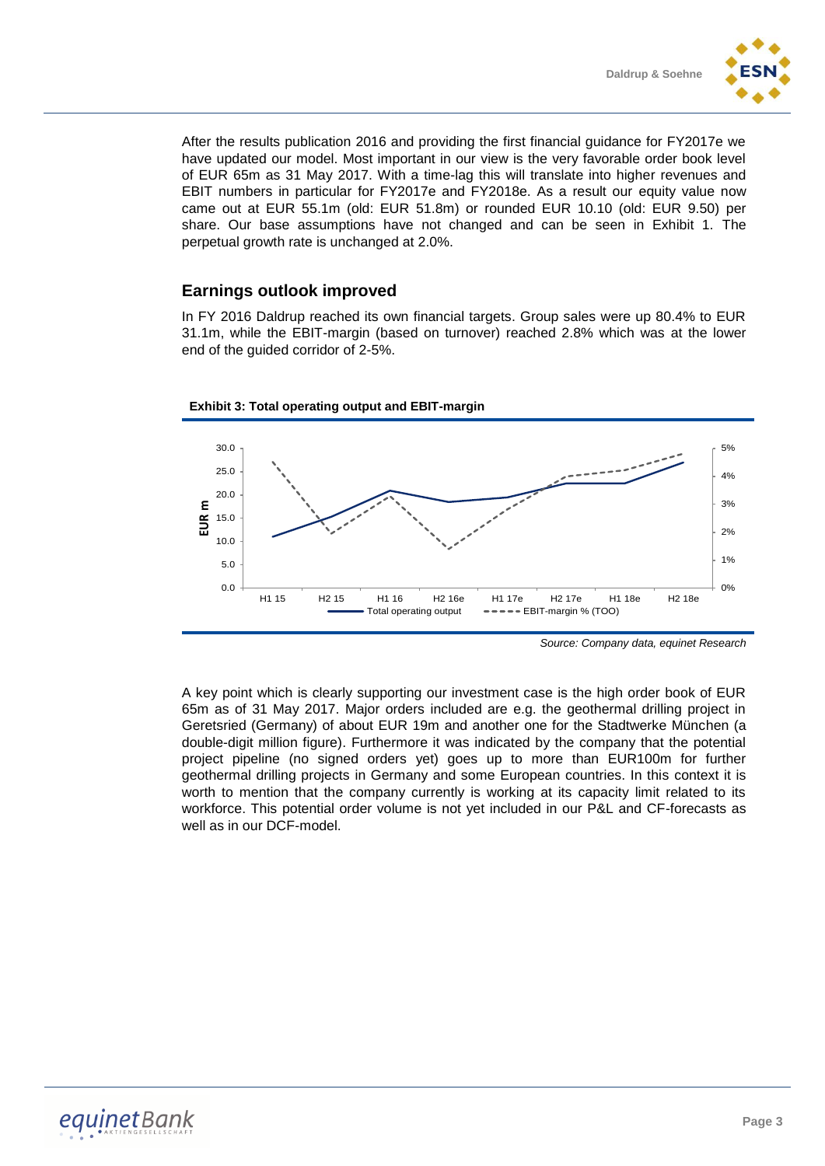After the results publication 2016 and providing the first financial guidance for FY2017e we have updated our model. Most important in our view is the very favorable order book level of EUR 65m as 31 May 2017. With a time-lag this will translate into higher revenues and EBIT numbers in particular for FY2017e and FY2018e. As a result our equity value now came out at EUR 55.1m (old: EUR 51.8m) or rounded EUR 10.10 (old: EUR 9.50) per share. Our base assumptions have not changed and can be seen in Exhibit 1. The perpetual growth rate is unchanged at 2.0%.

### **Earnings outlook improved**

In FY 2016 Daldrup reached its own financial targets. Group sales were up 80.4% to EUR 31.1m, while the EBIT-margin (based on turnover) reached 2.8% which was at the lower end of the guided corridor of 2-5%.



**Exhibit 3: Total operating output and EBIT-margin**

0% 1%

2%

3%

4% 5%

A key point which is clearly supporting our investment case is the high order book of EUR 65m as of 31 May 2017. Major orders included are e.g. the geothermal drilling project in Geretsried (Germany) of about EUR 19m and another one for the Stadtwerke München (a double-digit million figure). Furthermore it was indicated by the company that the potential project pipeline (no signed orders yet) goes up to more than EUR100m for further geothermal drilling projects in Germany and some European countries. In this context it is worth to mention that the company currently is working at its capacity limit related to its workforce. This potential order volume is not yet included in our P&L and CF-forecasts as well as in our DCF-model.

*Source: Company data, equinet Research*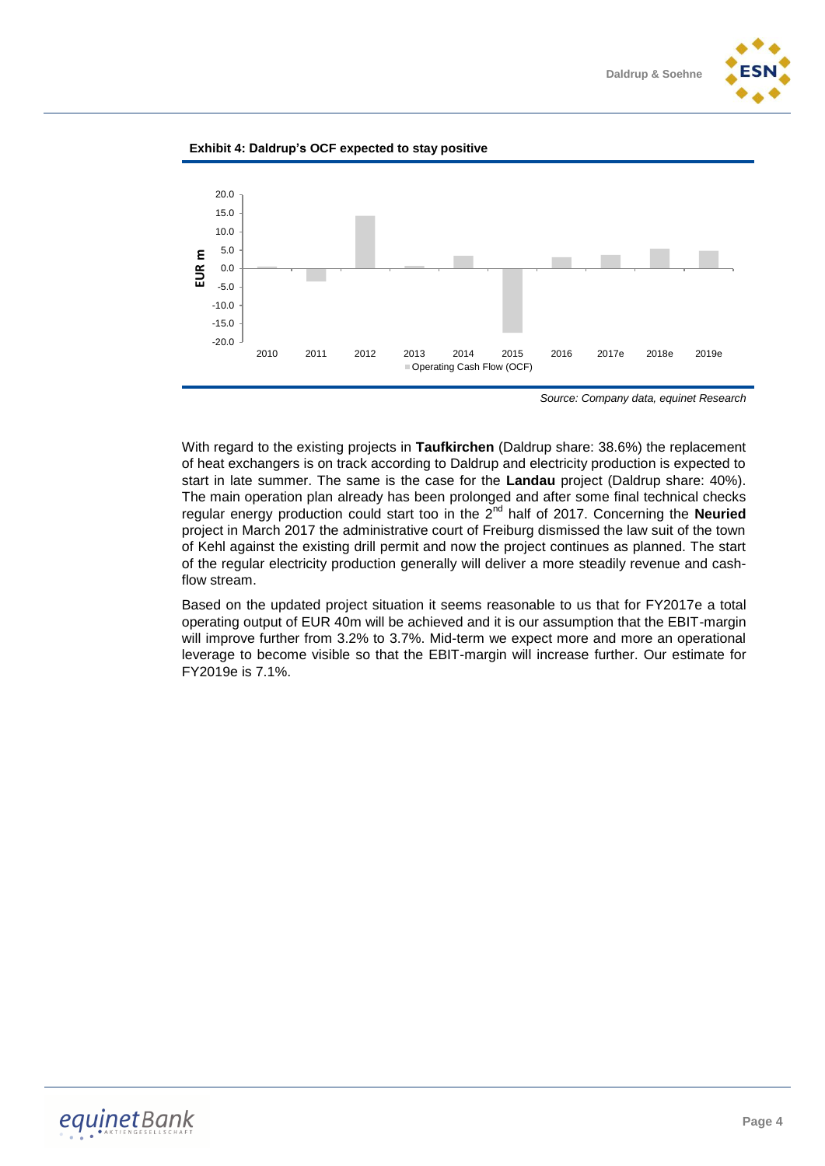





*Source: Company data, equinet Research*

With regard to the existing projects in **Taufkirchen** (Daldrup share: 38.6%) the replacement of heat exchangers is on track according to Daldrup and electricity production is expected to start in late summer. The same is the case for the **Landau** project (Daldrup share: 40%). The main operation plan already has been prolonged and after some final technical checks regular energy production could start too in the 2nd half of 2017. Concerning the **Neuried** project in March 2017 the administrative court of Freiburg dismissed the law suit of the town of Kehl against the existing drill permit and now the project continues as planned. The start of the regular electricity production generally will deliver a more steadily revenue and cashflow stream.

Based on the updated project situation it seems reasonable to us that for FY2017e a total operating output of EUR 40m will be achieved and it is our assumption that the EBIT-margin will improve further from 3.2% to 3.7%. Mid-term we expect more and more an operational leverage to become visible so that the EBIT-margin will increase further. Our estimate for FY2019e is 7.1%.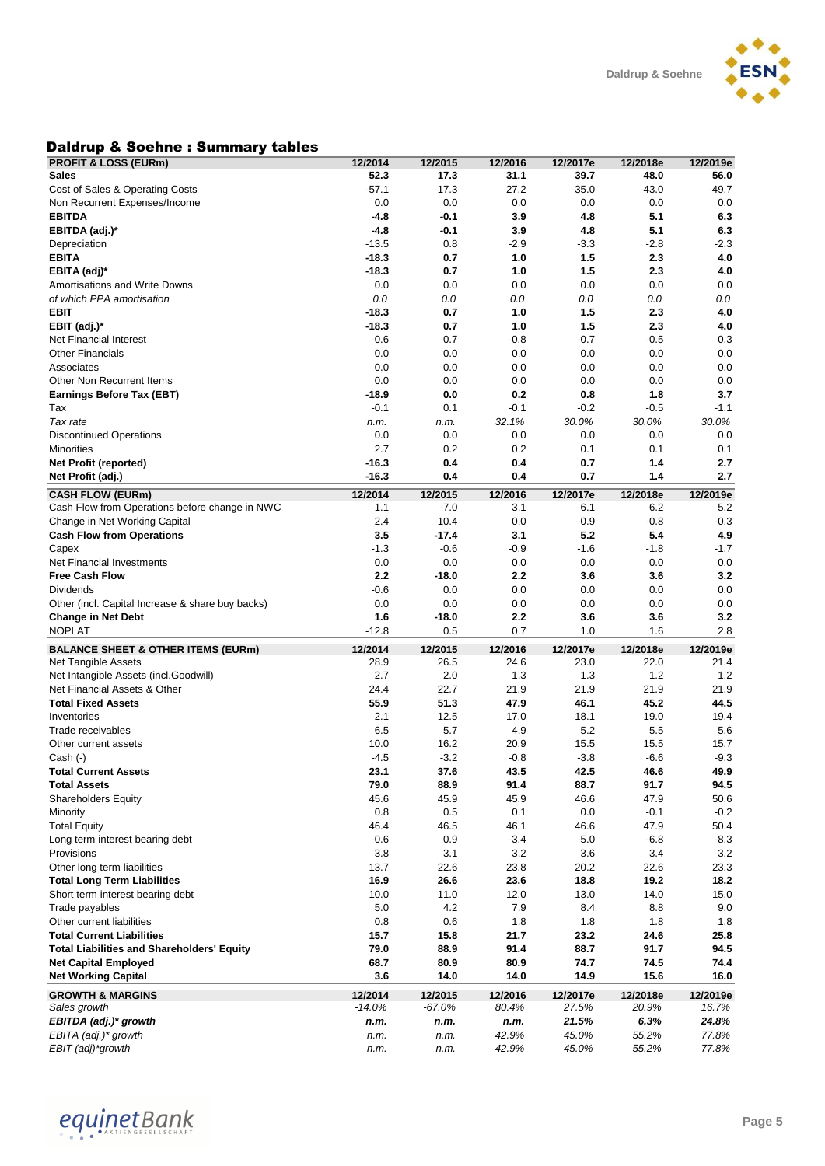

### Daldrup & Soehne : Summary tables

| <b>PROFIT &amp; LOSS (EURm)</b>                   | 12/2014      | 12/2015      | 12/2016        | 12/2017e       | 12/2018e       | 12/2019e       |
|---------------------------------------------------|--------------|--------------|----------------|----------------|----------------|----------------|
| Sales                                             | 52.3         | 17.3         | 31.1           | 39.7           | 48.0           | 56.0           |
| Cost of Sales & Operating Costs                   | $-57.1$      | $-17.3$      | $-27.2$        | $-35.0$        | $-43.0$        | $-49.7$        |
| Non Recurrent Expenses/Income                     | 0.0          | 0.0          | 0.0            | 0.0            | 0.0            | 0.0            |
| <b>EBITDA</b>                                     | $-4.8$       | $-0.1$       | 3.9            | 4.8            | 5.1            | 6.3            |
| EBITDA (adj.)*                                    | $-4.8$       | -0.1         | 3.9            | 4.8            | 5.1            | 6.3            |
| Depreciation                                      | $-13.5$      | 0.8          | $-2.9$         | $-3.3$         | $-2.8$         | $-2.3$         |
| EBITA                                             | $-18.3$      | 0.7          | 1.0            | 1.5            | 2.3            | 4.0            |
| EBITA (adj)*                                      | $-18.3$      | 0.7          | 1.0            | 1.5            | 2.3            | 4.0            |
| Amortisations and Write Downs                     | 0.0          | 0.0          | 0.0            | 0.0            | 0.0            | 0.0            |
| of which PPA amortisation                         |              |              |                |                |                |                |
| <b>EBIT</b>                                       | 0.0          | 0.0          | 0.0            | 0.0            | 0.0            | 0.0            |
|                                                   | $-18.3$      | 0.7          | 1.0            | 1.5            | 2.3            | 4.0            |
| EBIT (adj)*                                       | $-18.3$      | 0.7          | 1.0            | 1.5            | 2.3            | 4.0            |
| Net Financial Interest                            | $-0.6$       | $-0.7$       | $-0.8$         | $-0.7$         | $-0.5$         | $-0.3$         |
| <b>Other Financials</b>                           | 0.0          | 0.0          | 0.0            | 0.0            | 0.0            | 0.0            |
| Associates                                        | 0.0          | 0.0          | 0.0            | 0.0            | 0.0            | 0.0            |
| Other Non Recurrent Items                         | 0.0          | 0.0          | 0.0            | 0.0            | 0.0            | 0.0            |
| Earnings Before Tax (EBT)                         | $-18.9$      | 0.0          | 0.2            | 0.8            | 1.8            | 3.7            |
| Tax                                               | $-0.1$       | 0.1          | $-0.1$         | $-0.2$         | $-0.5$         | $-1.1$         |
| Tax rate                                          | n.m.         | n.m.         | 32.1%          | 30.0%          | 30.0%          | 30.0%          |
| <b>Discontinued Operations</b>                    | 0.0          | 0.0          | 0.0            | 0.0            | 0.0            | 0.0            |
| Minorities                                        | 2.7          | 0.2          | 0.2            | 0.1            | 0.1            | 0.1            |
| Net Profit (reported)                             | $-16.3$      | 0.4          | 0.4            | 0.7            | 1.4            | 2.7            |
| Net Profit (adj.)                                 | $-16.3$      | 0.4          | 0.4            | 0.7            | 1.4            | 2.7            |
| <b>CASH FLOW (EURm)</b>                           | 12/2014      | 12/2015      | 12/2016        | 12/2017e       | 12/2018e       | 12/2019e       |
| Cash Flow from Operations before change in NWC    | 1.1          | $-7.0$       | 3.1            | 6.1            | 6.2            | 5.2            |
| Change in Net Working Capital                     | 2.4          | $-10.4$      | 0.0            | $-0.9$         | $-0.8$         | $-0.3$         |
| <b>Cash Flow from Operations</b>                  | 3.5          | $-17.4$      | 3.1            | 5.2            | 5.4            | 4.9            |
| Capex                                             | $-1.3$       | $-0.6$       | $-0.9$         | $-1.6$         | $-1.8$         | $-1.7$         |
| Net Financial Investments                         | 0.0          | 0.0          | 0.0            | 0.0            | 0.0            | 0.0            |
| <b>Free Cash Flow</b>                             | 2.2          | $-18.0$      | 2.2            | 3.6            | 3.6            | 3.2            |
| Dividends                                         | $-0.6$       | 0.0          | 0.0            | 0.0            | 0.0            | 0.0            |
| Other (incl. Capital Increase & share buy backs)  | 0.0          | 0.0          | 0.0            | 0.0            | 0.0            | 0.0            |
|                                                   |              |              |                |                |                |                |
|                                                   |              |              |                |                |                |                |
| <b>Change in Net Debt</b>                         | 1.6          | $-18.0$      | 2.2            | 3.6            | 3.6            | 3.2            |
| <b>NOPLAT</b>                                     | $-12.8$      | 0.5          | 0.7            | 1.0            | 1.6            | 2.8            |
| <b>BALANCE SHEET &amp; OTHER ITEMS (EURm)</b>     | 12/2014      | 12/2015      | 12/2016        | 12/2017e       | 12/2018e       | 12/2019e       |
| Net Tangible Assets                               | 28.9         | 26.5         | 24.6           | 23.0           | 22.0           | 21.4           |
| Net Intangible Assets (incl.Goodwill)             | 2.7          | 2.0          | 1.3            | 1.3            | 1.2            | 1.2            |
| Net Financial Assets & Other                      | 24.4         | 22.7         | 21.9           | 21.9           | 21.9           | 21.9           |
| <b>Total Fixed Assets</b>                         | 55.9         | 51.3         | 47.9           | 46.1           | 45.2           | 44.5           |
| Inventories                                       | 2.1          | 12.5         | 17.0           | 18.1           | 19.0           | 19.4           |
| Trade receivables                                 | 6.5          | 5.7          | 4.9            | 5.2            | 5.5            | 5.6            |
| Other current assets                              | 10.0         | 16.2         | 20.9           | 15.5           | 15.5           | 15.7           |
| Cash (-)                                          | $-4.5$       | $-3.2$       | $-0.8$         | $-3.8$         | $-6.6$         | $-9.3$         |
| <b>Total Current Assets</b>                       | 23.1         | 37.6         | 43.5           | 42.5           | 46.6           | 49.9           |
| <b>Total Assets</b>                               | 79.0         | 88.9         | 91.4           | 88.7           | 91.7           | 94.5           |
| Shareholders Equity                               | 45.6         | 45.9         | 45.9           | 46.6           | 47.9           | 50.6           |
| Minority                                          | 0.8          | 0.5          | 0.1            | 0.0            | $-0.1$         | $-0.2$         |
| <b>Total Equity</b>                               | 46.4         | 46.5         | 46.1           | 46.6           | 47.9           | 50.4           |
| Long term interest bearing debt                   | $-0.6$       | 0.9          | $-3.4$         | $-5.0$         | $-6.8$         | $-8.3$         |
| Provisions                                        | 3.8          | 3.1          | 3.2            | 3.6            | 3.4            | $3.2\,$        |
| Other long term liabilities                       | 13.7         | 22.6         | 23.8           | 20.2           | 22.6           | 23.3           |
| <b>Total Long Term Liabilities</b>                | 16.9         | 26.6         | 23.6           | 18.8           | 19.2           | 18.2           |
| Short term interest bearing debt                  | 10.0         | 11.0         | 12.0           | 13.0           | 14.0           | 15.0           |
| Trade payables                                    | 5.0          | 4.2          | 7.9            | 8.4            | 8.8            | 9.0            |
| Other current liabilities                         | 0.8          | 0.6          | 1.8            | 1.8            | 1.8            | 1.8            |
| <b>Total Current Liabilities</b>                  | 15.7         | 15.8         | 21.7           | 23.2           | 24.6           | 25.8           |
| <b>Total Liabilities and Shareholders' Equity</b> | 79.0         | 88.9         | 91.4           | 88.7           | 91.7           | 94.5           |
| <b>Net Capital Employed</b>                       | 68.7         | 80.9         | 80.9           | 74.7           | 74.5           | 74.4           |
| <b>Net Working Capital</b>                        | 3.6          | 14.0         | 14.0           | 14.9           | 15.6           | 16.0           |
|                                                   |              |              |                |                |                |                |
|                                                   | 12/2014      | 12/2015      | 12/2016        | 12/2017e       | 12/2018e       | 12/2019e       |
| <b>GROWTH &amp; MARGINS</b><br>Sales growth       | $-14.0%$     | -67.0%       | 80.4%          | 27.5%          | 20.9%          | 16.7%          |
| EBITDA (adj.)* growth                             | n.m.         | n.m.         | n.m.           | 21.5%          | 6.3%           | 24.8%          |
| EBITA (adj.)* growth<br>EBIT (adj)*growth         | n.m.<br>n.m. | n.m.<br>n.m. | 42.9%<br>42.9% | 45.0%<br>45.0% | 55.2%<br>55.2% | 77.8%<br>77.8% |

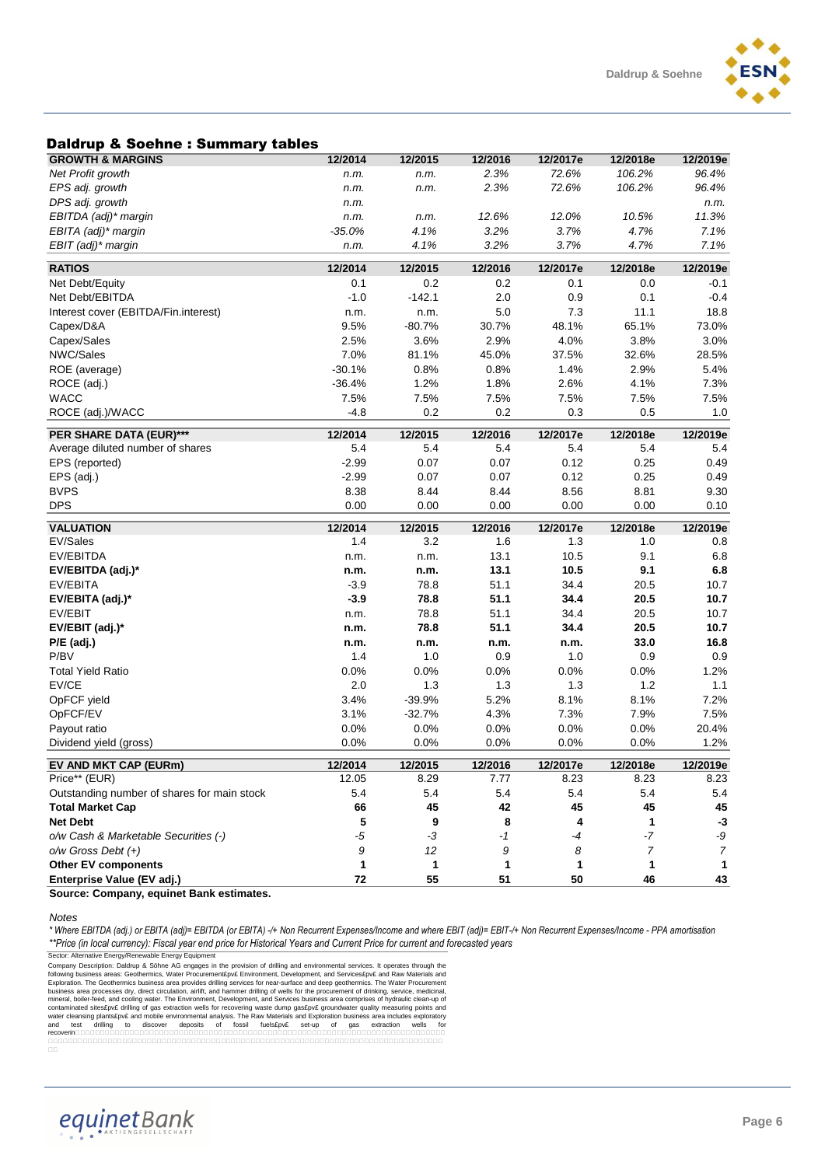### Daldrup & Soehne : Summary tables

| Daiurup & Joenne . Jummary tables                        |          |          |         |          |                |                |
|----------------------------------------------------------|----------|----------|---------|----------|----------------|----------------|
| <b>GROWTH &amp; MARGINS</b>                              | 12/2014  | 12/2015  | 12/2016 | 12/2017e | 12/2018e       | 12/2019e       |
| Net Profit growth                                        | n.m.     | n.m.     | 2.3%    | 72.6%    | 106.2%         | 96.4%          |
| EPS adj. growth                                          | n.m.     | n.m.     | 2.3%    | 72.6%    | 106.2%         | 96.4%          |
| DPS adj. growth                                          | n.m.     |          |         |          |                | n.m.           |
| EBITDA (adj)* margin                                     | n.m.     | n.m.     | 12.6%   | 12.0%    | 10.5%          | 11.3%          |
| EBITA (adj)* margin                                      | $-35.0%$ | 4.1%     | 3.2%    | 3.7%     | 4.7%           | 7.1%           |
| EBIT (adj)* margin                                       | n.m.     | 4.1%     | 3.2%    | 3.7%     | 4.7%           | 7.1%           |
| <b>RATIOS</b>                                            | 12/2014  | 12/2015  | 12/2016 | 12/2017e | 12/2018e       | 12/2019e       |
| Net Debt/Equity                                          | 0.1      | 0.2      | 0.2     | 0.1      | 0.0            | $-0.1$         |
| Net Debt/EBITDA                                          | $-1.0$   | $-142.1$ | 2.0     | 0.9      | 0.1            | $-0.4$         |
| Interest cover (EBITDA/Fin.interest)                     | n.m.     | n.m.     | 5.0     | 7.3      | 11.1           | 18.8           |
| Capex/D&A                                                | 9.5%     | $-80.7%$ | 30.7%   | 48.1%    | 65.1%          | 73.0%          |
| Capex/Sales                                              | 2.5%     | 3.6%     | 2.9%    | 4.0%     | 3.8%           | 3.0%           |
| NWC/Sales                                                | 7.0%     | 81.1%    | 45.0%   | 37.5%    | 32.6%          | 28.5%          |
| ROE (average)                                            | $-30.1%$ | 0.8%     | 0.8%    | 1.4%     | 2.9%           | 5.4%           |
| ROCE (adj.)                                              | $-36.4%$ | 1.2%     | 1.8%    | 2.6%     | 4.1%           | 7.3%           |
| <b>WACC</b>                                              | 7.5%     | 7.5%     | 7.5%    | 7.5%     | 7.5%           | 7.5%           |
| ROCE (adj.)/WACC                                         | $-4.8$   | 0.2      | 0.2     | 0.3      | 0.5            | 1.0            |
|                                                          |          |          |         |          |                |                |
| PER SHARE DATA (EUR)***                                  | 12/2014  | 12/2015  | 12/2016 | 12/2017e | 12/2018e       | 12/2019e       |
| Average diluted number of shares                         | 5.4      | 5.4      | 5.4     | 5.4      | 5.4            | 5.4            |
| EPS (reported)                                           | $-2.99$  | 0.07     | 0.07    | 0.12     | 0.25           | 0.49           |
| EPS (adj.)                                               | $-2.99$  | 0.07     | 0.07    | 0.12     | 0.25           | 0.49           |
| <b>BVPS</b>                                              | 8.38     | 8.44     | 8.44    | 8.56     | 8.81           | 9.30           |
| <b>DPS</b>                                               | 0.00     | 0.00     | 0.00    | 0.00     | 0.00           | 0.10           |
|                                                          |          |          |         |          |                |                |
|                                                          |          |          |         |          |                |                |
| <b>VALUATION</b>                                         | 12/2014  | 12/2015  | 12/2016 | 12/2017e | 12/2018e       | 12/2019e       |
| EV/Sales                                                 | 1.4      | 3.2      | 1.6     | 1.3      | 1.0            | 0.8            |
| EV/EBITDA                                                | n.m.     | n.m.     | 13.1    | 10.5     | 9.1            | 6.8            |
| EV/EBITDA (adj.)*                                        | n.m.     | n.m.     | 13.1    | 10.5     | 9.1            | 6.8            |
| EV/EBITA                                                 | $-3.9$   | 78.8     | 51.1    | 34.4     | 20.5           | 10.7           |
| EV/EBITA (adj.)*                                         | $-3.9$   | 78.8     | 51.1    | 34.4     | 20.5           | 10.7           |
| EV/EBIT                                                  | n.m.     | 78.8     | 51.1    | 34.4     | 20.5           | 10.7           |
| EV/EBIT (adj.)*                                          | n.m.     | 78.8     | 51.1    | 34.4     | 20.5           | 10.7           |
| $P/E$ (adj.)                                             | n.m.     | n.m.     | n.m.    | n.m.     | 33.0           | 16.8           |
| P/BV                                                     | 1.4      | 1.0      | 0.9     | 1.0      | 0.9            | 0.9            |
| <b>Total Yield Ratio</b>                                 | 0.0%     | 0.0%     | 0.0%    | 0.0%     | 0.0%           | 1.2%           |
| EV/CE                                                    | 2.0      | 1.3      | 1.3     | 1.3      | $1.2$          | 1.1            |
| OpFCF yield                                              | 3.4%     | $-39.9%$ | 5.2%    | 8.1%     | 8.1%           | 7.2%           |
| OpFCF/EV                                                 | 3.1%     | $-32.7%$ | 4.3%    | 7.3%     | 7.9%           | 7.5%           |
| Payout ratio                                             | 0.0%     | 0.0%     | 0.0%    | 0.0%     | 0.0%           | 20.4%          |
| Dividend yield (gross)                                   | 0.0%     | 0.0%     | 0.0%    | 0.0%     | 0.0%           | 1.2%           |
| EV AND MKT CAP (EURm)                                    | 12/2014  | 12/2015  | 12/2016 | 12/2017e | 12/2018e       | 12/2019e       |
| Price** (EUR)                                            | 12.05    | 8.29     | 7.77    | 8.23     | 8.23           | 8.23           |
| Outstanding number of shares for main stock              | 5.4      | 5.4      | 5.4     | 5.4      | 5.4            | 5.4            |
| <b>Total Market Cap</b>                                  | 66       | 45       | 42      | 45       | 45             | 45             |
| <b>Net Debt</b>                                          | 5        | 9        | 8       | 4        | 1              | $-3$           |
| o/w Cash & Marketable Securities (-)                     | $-5$     | $-3$     | $-1$    | -4       | $-7$           | -9             |
| $o/w$ Gross Debt $(+)$                                   | 9        | 12       | 9       | 8        | $\overline{7}$ | $\overline{7}$ |
| <b>Other EV components</b><br>Enterprise Value (EV adj.) | 1        | 1<br>55  | 1<br>51 | 1<br>50  | 1              | $\mathbf{1}$   |

**Source: Company, equinet Bank estimates.** 

*Notes*

*\* Where EBITDA (adj.) or EBITA (adj)= EBITDA (or EBITA) -/+ Non Recurrent Expenses/Income and where EBIT (adj)= EBIT-/+ Non Recurrent Expenses/Income - PPA amortisation \*\*Price (in local currency): Fiscal year end price for Historical Years and Current Price for current and forecasted years*

Sector: Alternative Energy/Renewable Energy Equipment<br>
Company Description: Daldrup & Söhne AG engages in the provision of drilling and environmental services. It operates through the<br>
Collyoning Description: Daldrup & Söh and test<br>recoverin0000<br>00000000000<br>00

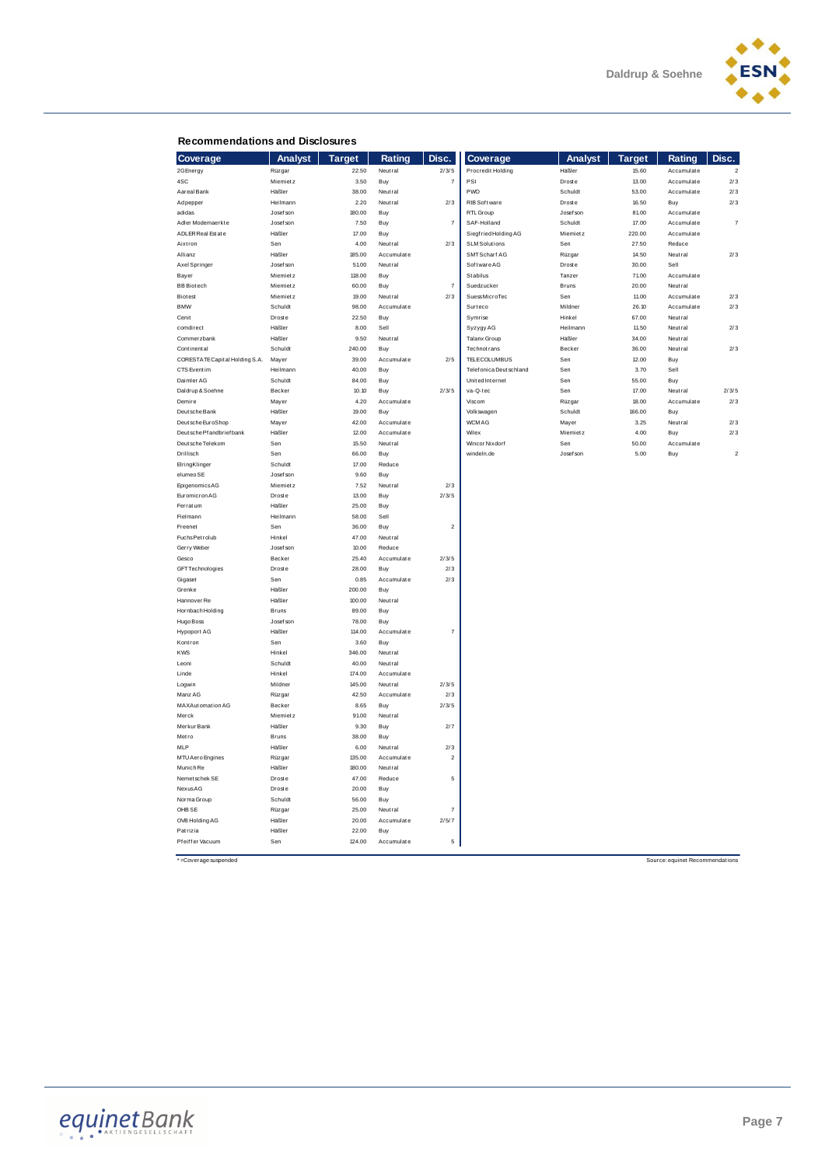

#### **Recommendations and Disclosures**

| <b>Recommendations and Disclosures</b> |                                |                |                 |                  |                           |                    |                |                                 |                          |
|----------------------------------------|--------------------------------|----------------|-----------------|------------------|---------------------------|--------------------|----------------|---------------------------------|--------------------------|
| Coverage                               | <b>Analyst</b>                 | <b>Target</b>  | Rating          | Disc.            | Coverage                  | <b>Analyst</b>     | <b>Target</b>  | Rating                          | Disc.                    |
| 2G Energy                              | Rüzgar                         | 22.50          | Neutral         | 2/3/5            | Procredit Holding         | Häßler             | 15.60          | Accumulate                      | $\overline{2}$           |
| 4SC                                    | <b>Miemietz</b>                | 3.50           | Buy             | $\overline{7}$   | PSI                       | <b>Droste</b>      | 13.00          | Accumulate                      | 2/3                      |
| Aareal Bank                            | Häßler                         | 38.00          | Neutral         |                  | PWO                       | Schuldt            | 53.00          | Accumulate                      | 2/3                      |
| Ad pepper                              | Heilmann                       | 2.20           | Neutral         | 2/3              | RIB Software              | Droste             | 16.50          | Buy                             | 2/3                      |
| adidas                                 | Josef son                      | 180.00         | Buy             |                  | RTL Group                 | Josef son          | 81.00          | Accumulate                      |                          |
| Adler Modemaerkte                      | Josef son                      | 7.50           | Buy             | $\overline{7}$   | SAF-Holland               | Schuldt            | 17.00          | Accumulate                      | $\overline{\mathcal{I}}$ |
| ADLER Real Est at e                    | Häßler                         | 17.00          | Buy             |                  | Siegfried Holding AG      | Miemietz           | 220.00         | Accumulate                      |                          |
| Aixtron                                | Sen                            | 4.00           | Neutral         | 2/3              | <b>SLM Solutions</b>      | Sen                | 27.50          | Reduce                          |                          |
| Allianz                                | Häßler                         | 185.00         | Accumulate      |                  | SMTScharf AG              | Rüzgar             | 14.50          | Neutral                         | 2/3                      |
| Axel Springer                          | Josef son                      | 51.00          | Neutral         |                  | Software AG               | <b>Droste</b>      | 30.00          | Sell                            |                          |
| Bayer                                  | Miemietz                       | 118.00         | Buy             |                  | Stabilus                  | Tanzer             | 71.00          | Accumulate                      |                          |
| <b>BB</b> Biotech                      | Miemietz                       | 60.00          | Buy             | $\overline{7}$   | Suedzucker                | Bruns              | 20.00          | Neutral                         |                          |
| <b>Biotest</b>                         | Miemietz                       | 19.00          | Neutral         | 2/3              | SuessMicroTec             | Sen                | 11.00          | Accumulate                      | 2/3                      |
| <b>BMW</b>                             | Schuldt                        | 98.00          | Accumulate      |                  | Surteco                   | Mildner            | 26.10          | Accumulate                      | 2/3                      |
| Cenit                                  | <b>Droste</b>                  | 22.50          | Buy             |                  | Symrise                   | Hinkel             | 67.00          | Neutral                         |                          |
| comdirect<br>Commerzbank               | Häßler<br>Häßler               | 8.00<br>9.50   | Sell<br>Neutral |                  | Syzygy AG<br>Talanx Group | Heilmann<br>Häßler | 11.50<br>34.00 | Neutral<br>Neutral              | 2/3                      |
| Continental                            | Schuldt                        | 240.00         | Buy             |                  | <b>Technot rans</b>       | Becker             | 36.00          | Neutral                         | 2/3                      |
| CORESTATE Capit al Holding S.A.        | Mayer                          | 39.00          | Accumulate      | 2/5              | TELECOLUMBUS              | Sen                | 12.00          | Buy                             |                          |
| CTS Eventim                            | Heilmann                       | 40.00          | Buy             |                  | Telefonica Deutschland    | Sen                | 3.70           | Sell                            |                          |
| Daimler AG                             | Schuldt                        | 84.00          | Buy             |                  | United Internet           | Sen                | 55.00          | Buy                             |                          |
| Daldrup & Soehne                       | Becker                         | 10.10          | Buy             | 2/3/5            | va-Q-tec                  | Sen                | 17.00          | Neutral                         | 2/3/5                    |
| Demire                                 | Mayer                          | 4.20           | Accumulate      |                  | Viscom                    | Rüzgar             | 18.00          | Accumulate                      | 2/3                      |
| Deut sche Bank                         | Häßler                         | 19.00          | Buy             |                  | Volkswagen                | Schuldt            | 166.00         | Buy                             |                          |
| Deutsche EuroShop                      | Mayer                          | 42.00          | Accumulate      |                  | <b>WCM AG</b>             | Mayer              | 3.25           | Neutral                         | 2/3                      |
| Deutsche Pf andbrief bank              | Häßler                         | 12.00          | Accumulate      |                  | Wilex                     | Miemietz           | 4.00           | Buy                             | 2/3                      |
| Deutsche Telekom                       | Sen                            | 15.50          | Neutral         |                  | <b>Wincor Nixdorf</b>     | Sen                | 50.00          | Accumulate                      |                          |
| Drillisch                              | Sen                            | 66.00          | Buy             |                  | windeln.de                | Josef son          | 5.00           | Buy                             | $\bar{2}$                |
| ElringKlinger                          | Schuldt                        | 17.00          | Reduce          |                  |                           |                    |                |                                 |                          |
| elumeo SE                              | Josef son                      | 9.60           | Buy             |                  |                           |                    |                |                                 |                          |
| EpigenomicsAG                          | Miemietz                       | 7.52           | Neutral         | 2/3              |                           |                    |                |                                 |                          |
| Euromicron AG                          | <b>Droste</b>                  | 13.00          | Buy             | 2/3/5            |                           |                    |                |                                 |                          |
| Ferratum                               | Häßler                         | 25.00          | Buy             |                  |                           |                    |                |                                 |                          |
| Fielmann                               | Heilmann                       | 58.00          | Sell            |                  |                           |                    |                |                                 |                          |
| Freenet                                | Sen                            | 36.00          | Buy             | $\boldsymbol{2}$ |                           |                    |                |                                 |                          |
| FuchsPetrolub                          | Hinkel                         | 47.00          | Neutral         |                  |                           |                    |                |                                 |                          |
| Gerry Weber                            | Josef son                      | 10.00          | Reduce          |                  |                           |                    |                |                                 |                          |
| Gesco                                  | Becker                         | 25.40          | Accumulate      | 2/3/5            |                           |                    |                |                                 |                          |
| <b>GFT Technologies</b>                | <b>Droste</b>                  | 28.00          | Buy             | 2/3              |                           |                    |                |                                 |                          |
| Gigaset                                | Sen                            | 0.85           | Accumulate      | 2/3              |                           |                    |                |                                 |                          |
| Grenke                                 | Häßler                         | 200.00         | Buy             |                  |                           |                    |                |                                 |                          |
| Hannover Re                            | Häßler                         | 100.00         | Neutral         |                  |                           |                    |                |                                 |                          |
| Hornbach Holding                       | Bruns                          | 89.00          | Buy             |                  |                           |                    |                |                                 |                          |
| Hugo Boss                              | Josef son                      | 78.00          | Buy             |                  |                           |                    |                |                                 |                          |
| <b>Hypoport AG</b>                     | Häßler                         | 114.00         | Accumulate      | 7                |                           |                    |                |                                 |                          |
| Kontron                                | Sen                            | 3.60           | Buy             |                  |                           |                    |                |                                 |                          |
| <b>KWS</b>                             | Hinkel                         | 346.00         | Neutral         |                  |                           |                    |                |                                 |                          |
| Leoni                                  | Schuldt                        | 40.00          | Neutral         |                  |                           |                    |                |                                 |                          |
| Linde                                  | Hinkel                         | 174.00         | Accumulate      |                  |                           |                    |                |                                 |                          |
| Logwin                                 | Mildner                        | 145.00         | Neutral         | 2/3/5            |                           |                    |                |                                 |                          |
| Manz AG                                | Rüzgar                         | 42.50          | Accumulate      | 2/3              |                           |                    |                |                                 |                          |
| MAXAutomation AG                       | Becker                         | 8.65           | Buy             | 2/3/5            |                           |                    |                |                                 |                          |
| Merck                                  | Miemietz                       | 91.00          | Neutral         |                  |                           |                    |                |                                 |                          |
| Merkur Bank                            | Häßler                         | 9.30           | Buy             | 2/7              |                           |                    |                |                                 |                          |
| Metro<br><b>MLP</b>                    | Bruns<br>Häßler                | 38.00          | Buy             | 2/3              |                           |                    |                |                                 |                          |
|                                        |                                | 6.00           | Neutral         |                  |                           |                    |                |                                 |                          |
| MTU Aero Engines                       | Rüzgar                         | 135.00         | Accumulate      | $\overline{2}$   |                           |                    |                |                                 |                          |
| Munich Re<br>Nemet schek SE            | Häßler                         | 180.00         | Neutral         |                  |                           |                    |                |                                 |                          |
| NexusAG                                | <b>Droste</b><br><b>Droste</b> | 47.00<br>20.00 | Reduce          | 5                |                           |                    |                |                                 |                          |
| Norma Group                            | Schuldt                        | 56.00          | Buy             |                  |                           |                    |                |                                 |                          |
| OHB SE                                 | Rüzgar                         | 25.00          | Buy<br>Neutral  | $\overline{7}$   |                           |                    |                |                                 |                          |
| OVB Holding AG                         | Häßler                         | 20.00          | Accumulate      | 2/5/7            |                           |                    |                |                                 |                          |
| Patrizia                               | Häßler                         | 22.00          | Buy             |                  |                           |                    |                |                                 |                          |
| Pfeiffer Vacuum                        | Sen                            | 124.00         | Accumulate      | 5                |                           |                    |                |                                 |                          |
| *=Coverage suspended                   |                                |                |                 |                  |                           |                    |                | Source: equinet Recommendations |                          |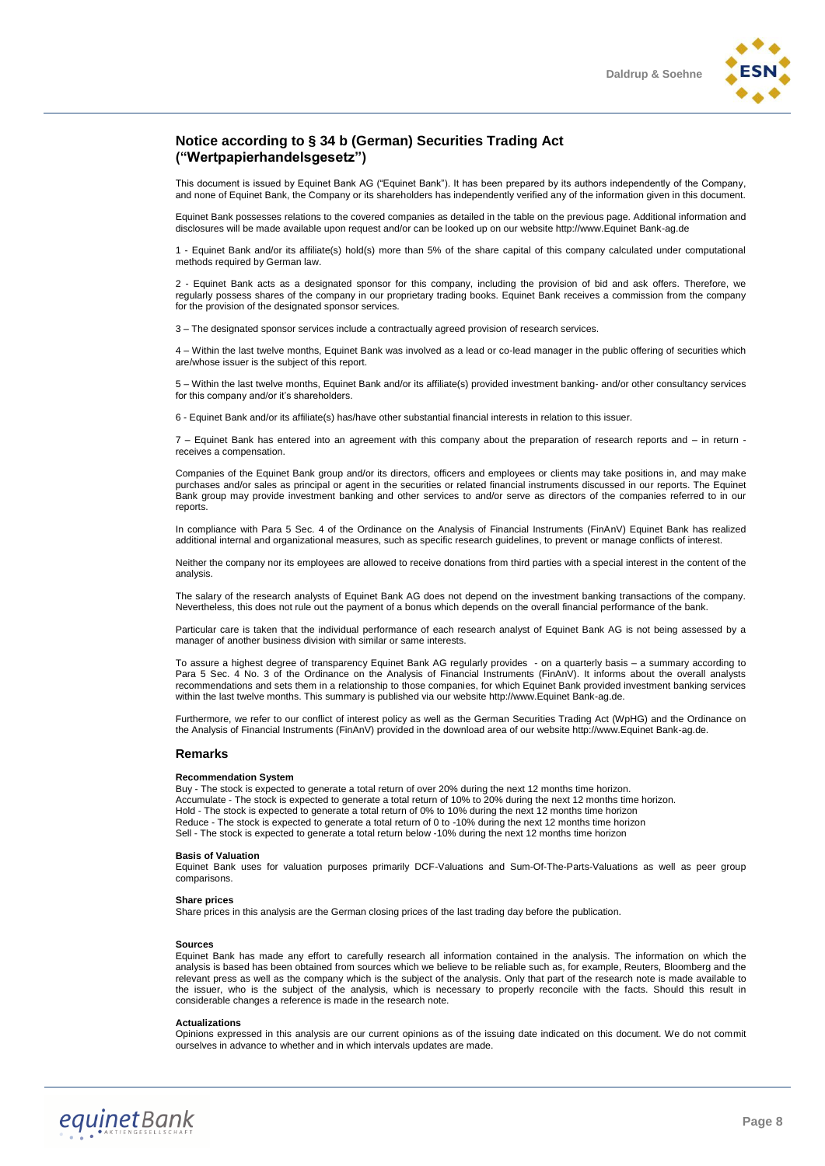### **Notice according to § 34 b (German) Securities Trading Act ("Wertpapierhandelsgesetz")**

This document is issued by Equinet Bank AG ("Equinet Bank"). It has been prepared by its authors independently of the Company, and none of Equinet Bank, the Company or its shareholders has independently verified any of the information given in this document.

Equinet Bank possesses relations to the covered companies as detailed in the table on the previous page. Additional information and disclosures will be made available upon request and/or can be looked up on our website http://www.Equinet Bank-ag.de

1 - Equinet Bank and/or its affiliate(s) hold(s) more than 5% of the share capital of this company calculated under computational methods required by German law

2 - Equinet Bank acts as a designated sponsor for this company, including the provision of bid and ask offers. Therefore, we regularly possess shares of the company in our proprietary trading books. Equinet Bank receives a commission from the company for the provision of the designated sponsor services.

3 – The designated sponsor services include a contractually agreed provision of research services.

4 – Within the last twelve months, Equinet Bank was involved as a lead or co-lead manager in the public offering of securities which are/whose issuer is the subject of this report.

5 – Within the last twelve months, Equinet Bank and/or its affiliate(s) provided investment banking- and/or other consultancy services for this company and/or it's shareholders.

6 - Equinet Bank and/or its affiliate(s) has/have other substantial financial interests in relation to this issuer.

7 – Equinet Bank has entered into an agreement with this company about the preparation of research reports and – in return receives a compensation.

Companies of the Equinet Bank group and/or its directors, officers and employees or clients may take positions in, and may make purchases and/or sales as principal or agent in the securities or related financial instruments discussed in our reports. The Equinet Bank group may provide investment banking and other services to and/or serve as directors of the companies referred to in our reports.

In compliance with Para 5 Sec. 4 of the Ordinance on the Analysis of Financial Instruments (FinAnV) Equinet Bank has realized additional internal and organizational measures, such as specific research guidelines, to prevent or manage conflicts of interest.

Neither the company nor its employees are allowed to receive donations from third parties with a special interest in the content of the analysis.

The salary of the research analysts of Equinet Bank AG does not depend on the investment banking transactions of the company. Nevertheless, this does not rule out the payment of a bonus which depends on the overall financial performance of the bank.

Particular care is taken that the individual performance of each research analyst of Equinet Bank AG is not being assessed by a manager of another business division with similar or same interests.

To assure a highest degree of transparency Equinet Bank AG regularly provides - on a quarterly basis – a summary according to Para 5 Sec. 4 No. 3 of the Ordinance on the Analysis of Financial Instruments (FinAnV). It informs about the overall analysts recommendations and sets them in a relationship to those companies, for which Equinet Bank provided investment banking services within the last twelve months. This summary is published via our website http://www.Equinet Bank-ag.de.

Furthermore, we refer to our conflict of interest policy as well as the German Securities Trading Act (WpHG) and the Ordinance on the Analysis of Financial Instruments (FinAnV) provided in the download area of our website http://www.Equinet Bank-ag.de.

#### **Remarks**

#### **Recommendation System**

Buy - The stock is expected to generate a total return of over 20% during the next 12 months time horizon. Accumulate - The stock is expected to generate a total return of 10% to 20% during the next 12 months time horizon. Hold - The stock is expected to generate a total return of 0% to 10% during the next 12 months time horizon Reduce - The stock is expected to generate a total return of 0 to -10% during the next 12 months time horizon Sell - The stock is expected to generate a total return below -10% during the next 12 months time horizon

#### **Basis of Valuation**

Equinet Bank uses for valuation purposes primarily DCF-Valuations and Sum-Of-The-Parts-Valuations as well as peer group comparisons.

#### **Share prices**

Share prices in this analysis are the German closing prices of the last trading day before the publication.

#### **Sources**

Equinet Bank has made any effort to carefully research all information contained in the analysis. The information on which the analysis is based has been obtained from sources which we believe to be reliable such as, for example, Reuters, Bloomberg and the relevant press as well as the company which is the subject of the analysis. Only that part of the research note is made available to the issuer, who is the subject of the analysis, which is necessary to properly reconcile with the facts. Should this result in considerable changes a reference is made in the research note.

#### **Actualizations**

Opinions expressed in this analysis are our current opinions as of the issuing date indicated on this document. We do not commit ourselves in advance to whether and in which intervals updates are made.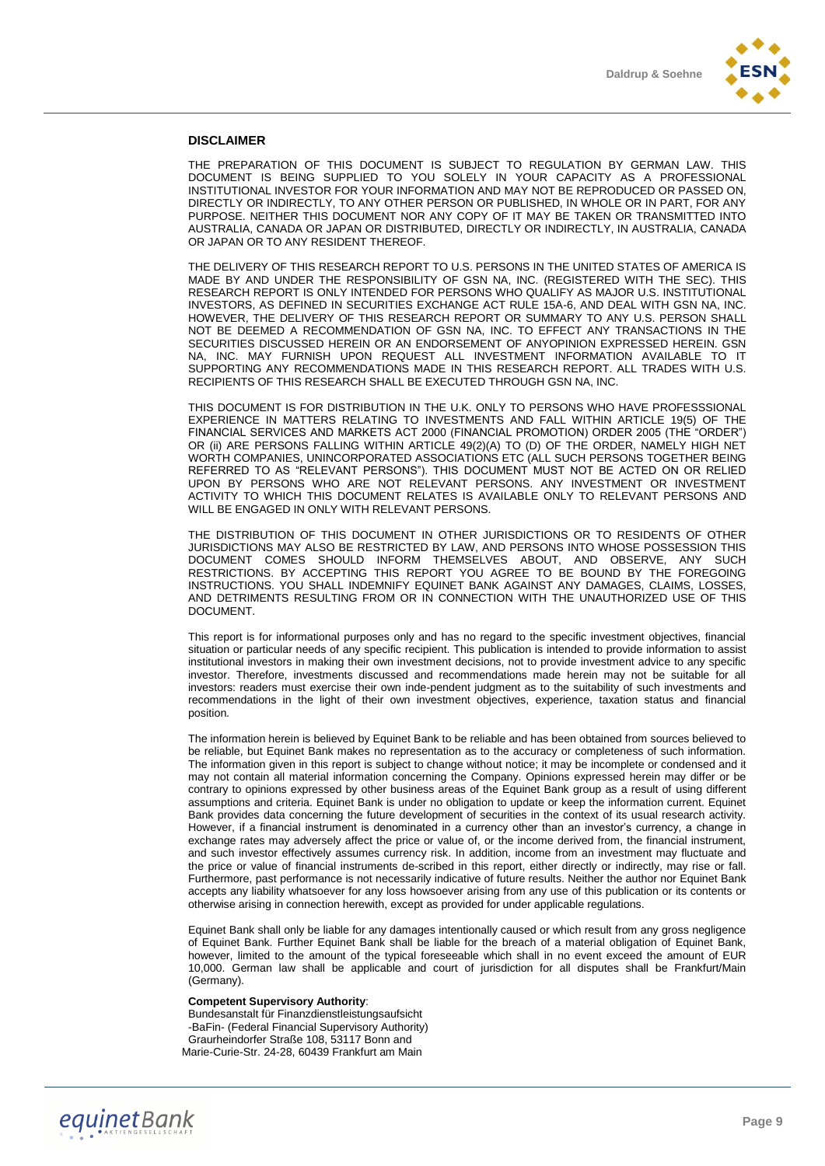

#### **DISCLAIMER**

THE PREPARATION OF THIS DOCUMENT IS SUBJECT TO REGULATION BY GERMAN LAW. THIS DOCUMENT IS BEING SUPPLIED TO YOU SOLELY IN YOUR CAPACITY AS A PROFESSIONAL INSTITUTIONAL INVESTOR FOR YOUR INFORMATION AND MAY NOT BE REPRODUCED OR PASSED ON, DIRECTLY OR INDIRECTLY, TO ANY OTHER PERSON OR PUBLISHED, IN WHOLE OR IN PART, FOR ANY PURPOSE. NEITHER THIS DOCUMENT NOR ANY COPY OF IT MAY BE TAKEN OR TRANSMITTED INTO AUSTRALIA, CANADA OR JAPAN OR DISTRIBUTED, DIRECTLY OR INDIRECTLY, IN AUSTRALIA, CANADA OR JAPAN OR TO ANY RESIDENT THEREOF.

THE DELIVERY OF THIS RESEARCH REPORT TO U.S. PERSONS IN THE UNITED STATES OF AMERICA IS MADE BY AND UNDER THE RESPONSIBILITY OF GSN NA, INC. (REGISTERED WITH THE SEC). THIS RESEARCH REPORT IS ONLY INTENDED FOR PERSONS WHO QUALIFY AS MAJOR U.S. INSTITUTIONAL INVESTORS, AS DEFINED IN SECURITIES EXCHANGE ACT RULE 15A-6, AND DEAL WITH GSN NA, INC. HOWEVER, THE DELIVERY OF THIS RESEARCH REPORT OR SUMMARY TO ANY U.S. PERSON SHALL NOT BE DEEMED A RECOMMENDATION OF GSN NA, INC. TO EFFECT ANY TRANSACTIONS IN THE SECURITIES DISCUSSED HEREIN OR AN ENDORSEMENT OF ANYOPINION EXPRESSED HEREIN. GSN NA, INC. MAY FURNISH UPON REQUEST ALL INVESTMENT INFORMATION AVAILABLE TO IT SUPPORTING ANY RECOMMENDATIONS MADE IN THIS RESEARCH REPORT. ALL TRADES WITH U.S. RECIPIENTS OF THIS RESEARCH SHALL BE EXECUTED THROUGH GSN NA, INC.

THIS DOCUMENT IS FOR DISTRIBUTION IN THE U.K. ONLY TO PERSONS WHO HAVE PROFESSSIONAL EXPERIENCE IN MATTERS RELATING TO INVESTMENTS AND FALL WITHIN ARTICLE 19(5) OF THE FINANCIAL SERVICES AND MARKETS ACT 2000 (FINANCIAL PROMOTION) ORDER 2005 (THE "ORDER") OR (ii) ARE PERSONS FALLING WITHIN ARTICLE 49(2)(A) TO (D) OF THE ORDER, NAMELY HIGH NET WORTH COMPANIES, UNINCORPORATED ASSOCIATIONS ETC (ALL SUCH PERSONS TOGETHER BEING REFERRED TO AS "RELEVANT PERSONS"). THIS DOCUMENT MUST NOT BE ACTED ON OR RELIED UPON BY PERSONS WHO ARE NOT RELEVANT PERSONS. ANY INVESTMENT OR INVESTMENT ACTIVITY TO WHICH THIS DOCUMENT RELATES IS AVAILABLE ONLY TO RELEVANT PERSONS AND WILL BE ENGAGED IN ONLY WITH RELEVANT PERSONS.

THE DISTRIBUTION OF THIS DOCUMENT IN OTHER JURISDICTIONS OR TO RESIDENTS OF OTHER JURISDICTIONS MAY ALSO BE RESTRICTED BY LAW, AND PERSONS INTO WHOSE POSSESSION THIS DOCUMENT COMES SHOULD INFORM THEMSELVES ABOUT, AND OBSERVE, ANY SUCH RESTRICTIONS. BY ACCEPTING THIS REPORT YOU AGREE TO BE BOUND BY THE FOREGOING INSTRUCTIONS. YOU SHALL INDEMNIFY EQUINET BANK AGAINST ANY DAMAGES, CLAIMS, LOSSES, AND DETRIMENTS RESULTING FROM OR IN CONNECTION WITH THE UNAUTHORIZED USE OF THIS DOCUMENT.

This report is for informational purposes only and has no regard to the specific investment objectives, financial situation or particular needs of any specific recipient. This publication is intended to provide information to assist institutional investors in making their own investment decisions, not to provide investment advice to any specific investor. Therefore, investments discussed and recommendations made herein may not be suitable for all investors: readers must exercise their own inde-pendent judgment as to the suitability of such investments and recommendations in the light of their own investment objectives, experience, taxation status and financial position.

The information herein is believed by Equinet Bank to be reliable and has been obtained from sources believed to be reliable, but Equinet Bank makes no representation as to the accuracy or completeness of such information. The information given in this report is subject to change without notice; it may be incomplete or condensed and it may not contain all material information concerning the Company. Opinions expressed herein may differ or be contrary to opinions expressed by other business areas of the Equinet Bank group as a result of using different assumptions and criteria. Equinet Bank is under no obligation to update or keep the information current. Equinet Bank provides data concerning the future development of securities in the context of its usual research activity. However, if a financial instrument is denominated in a currency other than an investor's currency, a change in exchange rates may adversely affect the price or value of, or the income derived from, the financial instrument, and such investor effectively assumes currency risk. In addition, income from an investment may fluctuate and the price or value of financial instruments de-scribed in this report, either directly or indirectly, may rise or fall. Furthermore, past performance is not necessarily indicative of future results. Neither the author nor Equinet Bank accepts any liability whatsoever for any loss howsoever arising from any use of this publication or its contents or otherwise arising in connection herewith, except as provided for under applicable regulations.

Equinet Bank shall only be liable for any damages intentionally caused or which result from any gross negligence of Equinet Bank. Further Equinet Bank shall be liable for the breach of a material obligation of Equinet Bank, however, limited to the amount of the typical foreseeable which shall in no event exceed the amount of EUR 10,000. German law shall be applicable and court of jurisdiction for all disputes shall be Frankfurt/Main (Germany).

#### **Competent Supervisory Authority**:

Bundesanstalt für Finanzdienstleistungsaufsicht -BaFin- (Federal Financial Supervisory Authority) Graurheindorfer Straße 108, 53117 Bonn and Marie-Curie-Str. 24-28, 60439 Frankfurt am Main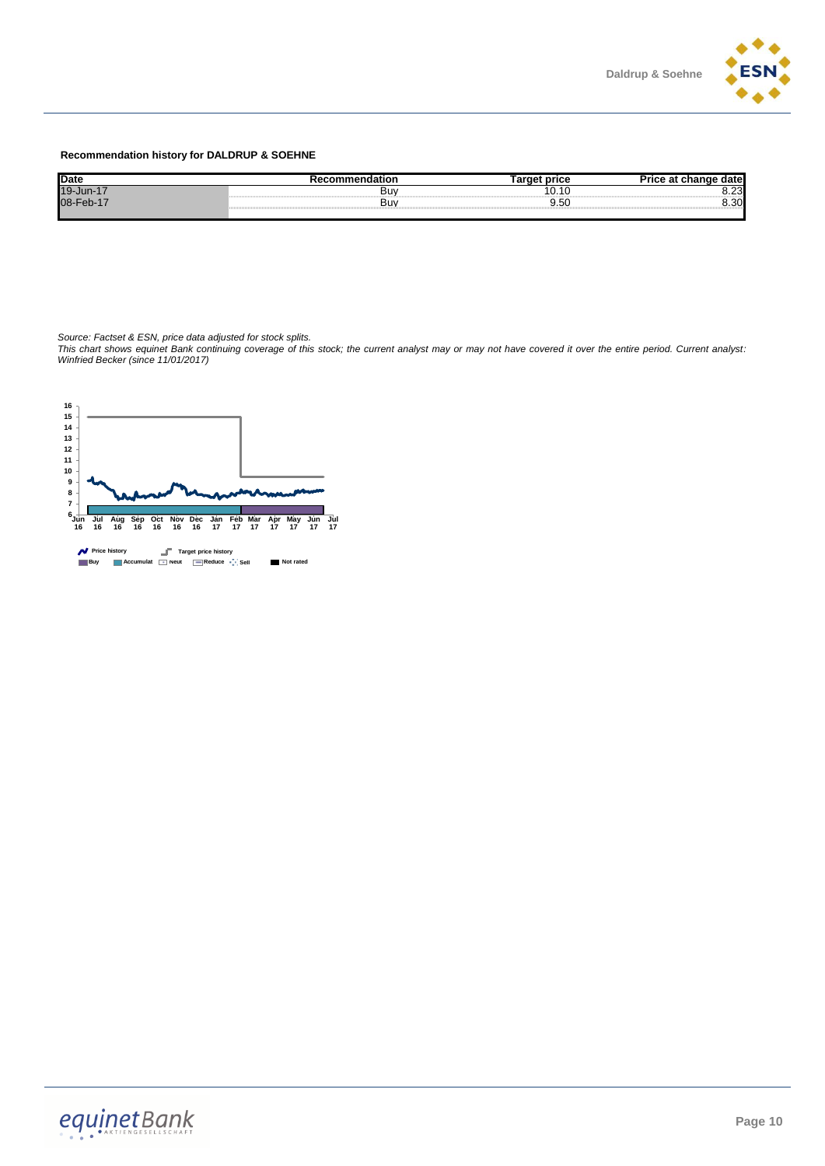

#### **Recommendation history for DALDRUP & SOEHNE**

| <b>Date</b>            |     | <sup>→</sup> nrice           | date          |
|------------------------|-----|------------------------------|---------------|
| 19-Jun-17<br>08-Feb-17 | Buv | 10.                          | n nn<br>ں ے.ں |
|                        | Buv | $\sim$ $\sim$ $\sim$<br>9.5U | 20<br>u.uu    |
|                        |     |                              |               |

*Source: Factset & ESN, price data adjusted for stock splits.*

*This chart shows equinet Bank continuing coverage of this stock; the current analyst may or may not have covered it over the entire period. Current analyst: Winfried Becker (since 11/01/2017)*

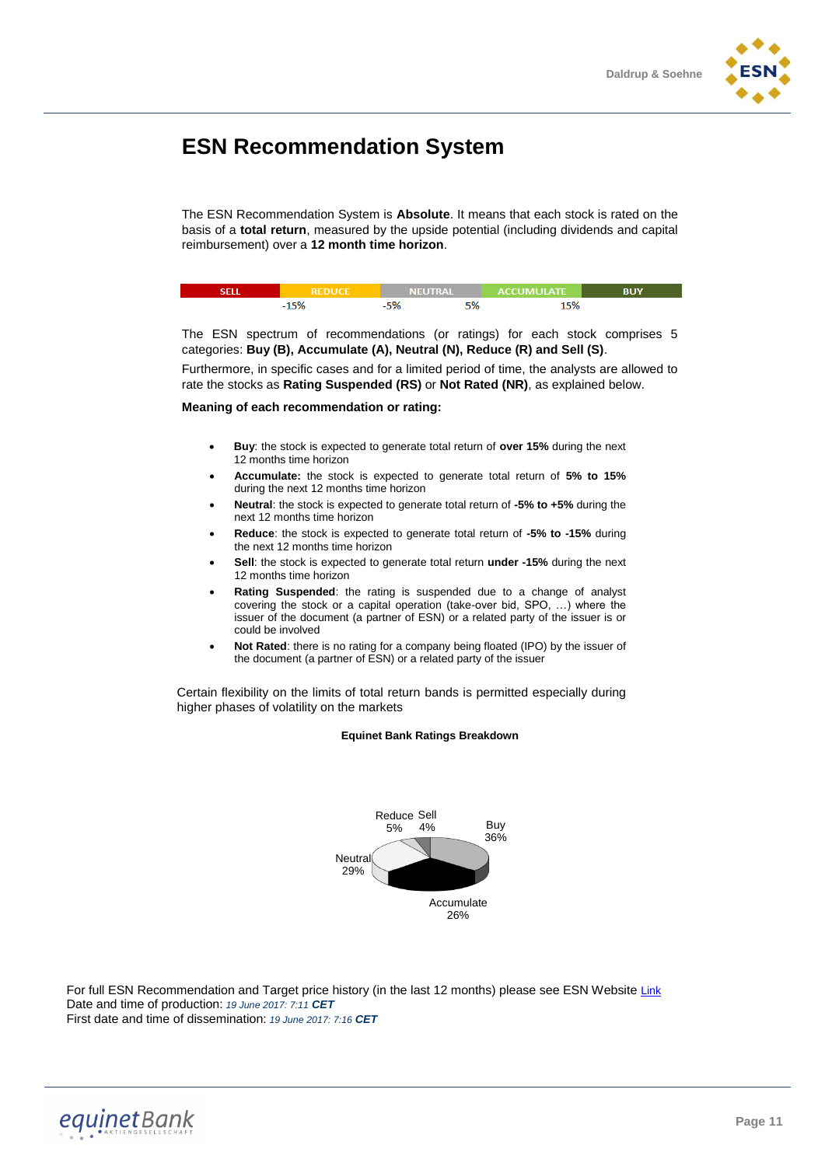

# **ESN Recommendation System**

The ESN Recommendation System is **Absolute**. It means that each stock is rated on the basis of a **total return**, measured by the upside potential (including dividends and capital reimbursement) over a **12 month time horizon**.

| REDHCE. |     | NEUTRAL ACCUMULATE |  |
|---------|-----|--------------------|--|
|         | -n. | EQ                 |  |

The ESN spectrum of recommendations (or ratings) for each stock comprises 5 categories: **Buy (B), Accumulate (A), Neutral (N), Reduce (R) and Sell (S)**.

Furthermore, in specific cases and for a limited period of time, the analysts are allowed to rate the stocks as **Rating Suspended (RS)** or **Not Rated (NR)**, as explained below.

#### **Meaning of each recommendation or rating:**

- **Buy**: the stock is expected to generate total return of **over 15%** during the next 12 months time horizon
- **Accumulate:** the stock is expected to generate total return of **5% to 15%** during the next 12 months time horizon
- **Neutral**: the stock is expected to generate total return of **-5% to +5%** during the next 12 months time horizon
- **Reduce**: the stock is expected to generate total return of **-5% to -15%** during the next 12 months time horizon
- **Sell**: the stock is expected to generate total return **under -15%** during the next 12 months time horizon
- **Rating Suspended**: the rating is suspended due to a change of analyst covering the stock or a capital operation (take-over bid, SPO, …) where the issuer of the document (a partner of ESN) or a related party of the issuer is or could be involved
- **Not Rated**: there is no rating for a company being floated (IPO) by the issuer of the document (a partner of ESN) or a related party of the issuer

Certain flexibility on the limits of total return bands is permitted especially during higher phases of volatility on the markets

#### **Equinet Bank Ratings Breakdown**



For full ESN Recommendation and Target price history (in the last 12 months) please see ESN Website [Link](http://www.esnpartnership.eu/research_and_database_access) Date and time of production: *19 June 2017: 7:11 CET* First date and time of dissemination: *19 June 2017: 7:16 CET*